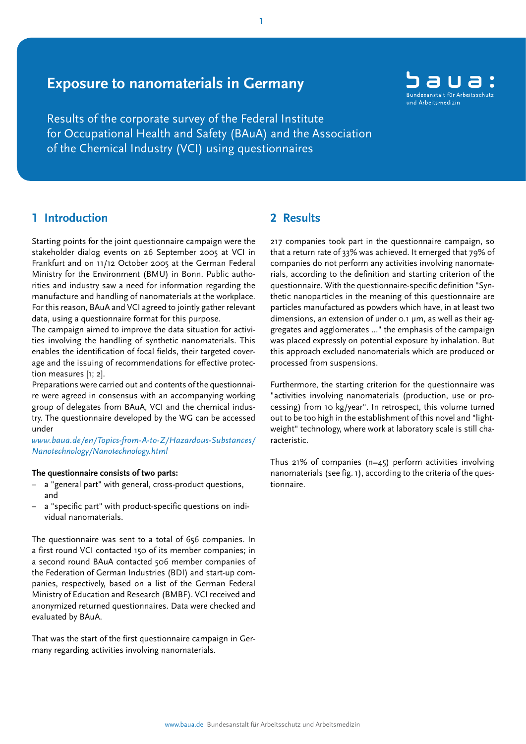# **Exposure to nanomaterials in Germany**

Results of the corporate survey of the Federal Institute for Occupational Health and Safety (BAuA) and the Association of the Chemical Industry (VCI) using questionnaires

# **1 Introduction**

Starting points for the joint questionnaire campaign were the stakeholder dialog events on 26 September 2005 at VCI in Frankfurt and on 11/12 October 2005 at the German Federal Ministry for the Environment (BMU) in Bonn. Public authorities and industry saw a need for information regarding the manufacture and handling of nanomaterials at the workplace. For this reason, BAuA and VCI agreed to jointly gather relevant data, using a questionnaire format for this purpose.

The campaign aimed to improve the data situation for activities involving the handling of synthetic nanomaterials. This enables the identification of focal fields, their targeted coverage and the issuing of recommendations for effective protection measures [1; 2].

Preparations were carried out and contents of the questionnaire were agreed in consensus with an accompanying working group of delegates from BAuA, VCI and the chemical industry. The questionnaire developed by the WG can be accessed under

*[www.baua.de/en/Topics-from-A-to-Z/Hazardous-Substances/](http://www.baua.de/en/Topics-from-A-to-Z/Hazardous-Substances/Nanotechnology/Nanotechnology.html) Nanotechnology/Nanotechnology.html*

### **The questionnaire consists of two parts:**

- a "general part" with general, cross-product questions, and
- a "specific part" with product-specific questions on individual nanomaterials.

The questionnaire was sent to a total of 656 companies. In a first round VCI contacted 150 of its member companies; in a second round BAuA contacted 506 member companies of the Federation of German Industries (BDI) and start-up companies, respectively, based on a list of the German Federal Ministry of Education and Research (BMBF). VCI received and anonymized returned questionnaires. Data were checked and evaluated by BAuA.

That was the start of the first questionnaire campaign in Germany regarding activities involving nanomaterials.

# **2 Results**

217 companies took part in the questionnaire campaign, so that a return rate of 33% was achieved. It emerged that 79% of companies do not perform any activities involving nanomaterials, according to the definition and starting criterion of the questionnaire. With the questionnaire-specific definition "Synthetic nanoparticles in the meaning of this questionnaire are particles manufactured as powders which have, in at least two dimensions, an extension of under 0.1 um, as well as their aggregates and agglomerates ..." the emphasis of the campaign was placed expressly on potential exposure by inhalation. But this approach excluded nanomaterials which are produced or processed from suspensions.

Furthermore, the starting criterion for the questionnaire was "activities involving nanomaterials (production, use or processing) from 10 kg/year". In retrospect, this volume turned out to be too high in the establishment of this novel and "lightweight" technology, where work at laboratory scale is still characteristic.

Thus 21% of companies (n=45) perform activities involving nanomaterials (see fig. 1), according to the criteria of the questionnaire.

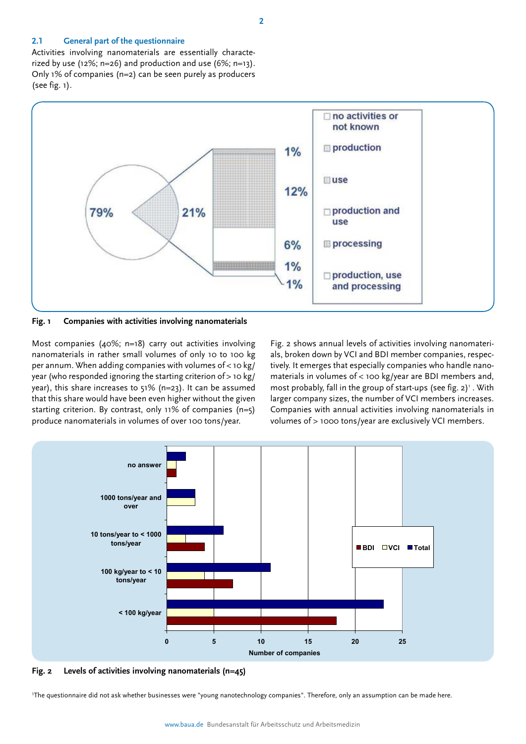#### **2.1 General part of the questionnaire**

Activities involving nanomaterials are essentially characterized by use (12%; n=26) and production and use  $(6\%; n=13)$ . Only 1% of companies (n=2) can be seen purely as producers (see fig. 1).



**Fig. 1 Companies with activities involving nanomaterials** 

Most companies (40%; n=18) carry out activities involving nanomaterials in rather small volumes of only 10 to 100 kg per annum. When adding companies with volumes of  $<$  10 kg/ year (who responded ignoring the starting criterion of > 10 kg/ year), this share increases to 51% (n=23). It can be assumed that this share would have been even higher without the given starting criterion. By contrast, only 11% of companies (n=5) produce nanomaterials in volumes of over 100 tons/year.

**Fig. 2 shows annual levels of ac-**Fig. 2 shows annual levels of activities involving nanomaterials, broken down by VCI and BDI member companies, respec-<br>tively it assesses that conscielly companies who handle name **broken down by VCI and BDI**  materials in volumes of < 100 kg/year are BDI members and, most probably, fall in the group of start-ups (see fig. 2) . with<br>larger company sizes, the number of VCI members increases. Companies with annual activities involving nanomaterials in<br>volumes of > 1000 tons/vear are exclusively VCL members tively. It emerges that especially companies who handle nanomost probably, fall in the group of start-ups (see fig.  $2)^1$ . With volumes of > 1000 tons/year are exclusively VCI members.



**Fig. 2 Levels of activities involving nanomaterials (n=45)** 

1 The questionnaire did not ask whether businesses were "young nanotechnology companies". Therefore, only an assumption can be made here.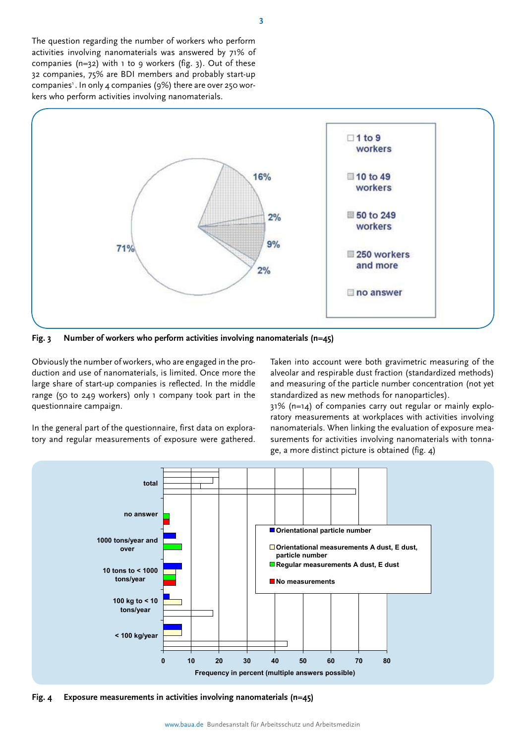The question regarding the number of workers who perform activities involving nanomaterials was answered by 71% of companies  $(n=32)$  with 1 to 9 workers (fig. 3). Out of these 32 companies, 75% are BDI members and probably start-up companies<sup>1</sup>. In only 4 companies (9%) there are over 250 workers who perform activities involving nanomaterials.



**Fig. 3 Number of workers who perform activities involving nanomaterials (n=45)** 

Obviously the number of workers, who are engaged in the production and use of nanomaterials, is limited. Once more the large share of start-up companies is reflected. In the middle range (50 to 249 workers) only 1 company took part in the questionnaire campaign.

In the general part of the questionnaire, first data on exploratory and regular measurements of exposure were gathered.

Taken into account were both gravimetric measuring of the alveolar and respirable dust fraction (standardized methods) and measuring of the particle number concentration (not yet standardized as new methods for nanoparticles).

31% (n=14) of companies carry out regular or mainly exploratory measurements at workplaces with activities involving nanomaterials. When linking the evaluation of exposure measurements for activities involving nanomaterials with tonnage, a more distinct picture is obtained (fig. 4)



**Fig. 4 Exposure measurements in activities involving nanomaterials (n=45)**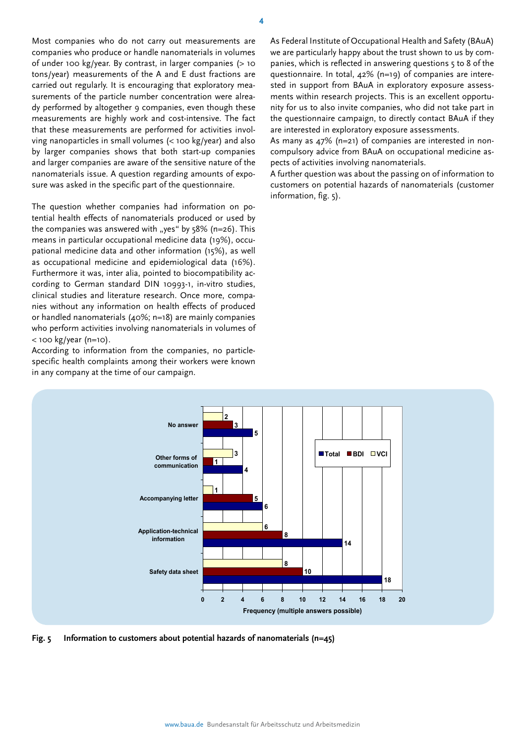Most companies who do not carry out measurements are companies who produce or handle nanomaterials in volumes of under 100 kg/year. By contrast, in larger companies (> 10 tons/year) measurements of the A and E dust fractions are carried out regularly. It is encouraging that exploratory measurements of the particle number concentration were already performed by altogether 9 companies, even though these measurements are highly work and cost-intensive. The fact that these measurements are performed for activities involving nanoparticles in small volumes (< 100 kg/year) and also by larger companies shows that both start-up companies and larger companies are aware of the sensitive nature of the nanomaterials issue. A question regarding amounts of exposure was asked in the specific part of the questionnaire.

The question whether companies had information on potential health effects of nanomaterials produced or used by the companies was answered with "yes" by  $58\%$  (n=26). This means in particular occupational medicine data (19%), occupational medicine data and other information (15%), as well as occupational medicine and epidemiological data (16%). Furthermore it was, inter alia, pointed to biocompatibility according to German standard DIN 10993-1, in-vitro studies, clinical studies and literature research. Once more, companies without any information on health effects of produced or handled nanomaterials (40%; n=18) are mainly companies who perform activities involving nanomaterials in volumes of  $<$  100 kg/year (n=10).

According to information from the companies, no particlespecific health complaints among their workers were known in any company at the time of our campaign.

As Federal Institute of Occupational Health and Safety (BAuA) we are particularly happy about the trust shown to us by companies, which is reflected in answering questions 5 to 8 of the questionnaire. In total, 42% (n=19) of companies are interested in support from BAuA in exploratory exposure assessments within research projects. This is an excellent opportunity for us to also invite companies, who did not take part in the questionnaire campaign, to directly contact BAuA if they are interested in exploratory exposure assessments.

As many as 47% (n=21) of companies are interested in noncompulsory advice from BAuA on occupational medicine aspects of activities involving nanomaterials.

A further question was about the passing on of information to customers on potential hazards of nanomaterials (customer information, fig. 5).



**5** 

**3** 

**2** 

**Fig. 5 Information to customers about potential hazards of nanomaterials (n=45)** 

**No answer**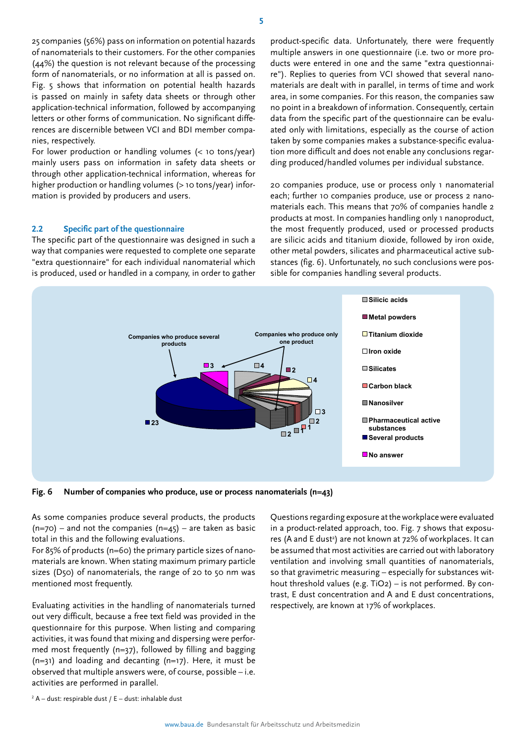25 companies (56%) pass on information on potential hazards of nanomaterials to their customers. For the other companies (44%) the question is not relevant because of the processing form of nanomaterials, or no information at all is passed on. Fig. 5 shows that information on potential health hazards is passed on mainly in safety data sheets or through other application-technical information, followed by accompanying letters or other forms of communication. No significant differences are discernible between VCI and BDI member companies, respectively.

For lower production or handling volumes (< 10 tons/year) mainly users pass on information in safety data sheets or through other application-technical information, whereas for higher production or handling volumes (> 10 tons/year) information is provided by producers and users.

#### $2.2$ **2.2 Specific part of the questionnaire**

The specific part of the questionnaire was designed in such a way that companies were requested to complete one separate "extra questionnaire" for each individual nanomaterial which is produced, used or handled in a company, in order to gather

product-specific data. Unfortunately, there were frequently multiple answers in one questionnaire (i.e. two or more products were entered in one and the same "extra questionnaire"). Replies to queries from VCI showed that several nanomaterials are dealt with in parallel, in terms of time and work area, in some companies. For this reason, the companies saw no point in a breakdown of information. Consequently, certain data from the specific part of the questionnaire can be evaluated only with limitations, especially as the course of action taken by some companies makes a substance-specific evaluation more difficult and does not enable any conclusions regarding produced/handled volumes per individual substance.

20 companies produce, use or process only 1 nanomaterial each; further 10 companies produce, use or process 2 nanomaterials each. This means that 70% of companies handle 2 products at most. In companies handling only 1 nanoproduct, the most frequently produced, used or processed products are silicic acids and titanium dioxide, followed by iron oxide, other metal powders, silicates and pharmaceutical active substances (fig. 6). Unfortunately, no such conclusions were possible for companies handling several products.



**Fig. 6 Number of companies who produce, use or process nanomaterials (n=43)** 

As some companies produce several products, the products  $(n=70)$  – and not the companies  $(n=45)$  – are taken as basic total in this and the following evaluations.

For 85% of products (n=60) the primary particle sizes of nanomaterials are known. When stating maximum primary particle sizes (D50) of nanomaterials, the range of 20 to 50 nm was mentioned most frequently.

Evaluating activities in the handling of nanomaterials turned out very difficult, because a free text field was provided in the questionnaire for this purpose. When listing and comparing activities, it was found that mixing and dispersing were performed most frequently (n=37), followed by filling and bagging (n=31) and loading and decanting (n=17). Here, it must be observed that multiple answers were, of course, possible – i.e. activities are performed in parallel.

Questions regarding exposure at the workplace were evaluated in a product-related approach, too. Fig. 7 shows that exposures (A and E dust<sup>2</sup>) are not known at 72% of workplaces. It can be assumed that most activities are carried out with laboratory ventilation and involving small quantities of nanomaterials, so that gravimetric measuring – especially for substances without threshold values (e.g. TiO2) – is not performed. By contrast, E dust concentration and A and E dust concentrations, respectively, are known at 17% of workplaces.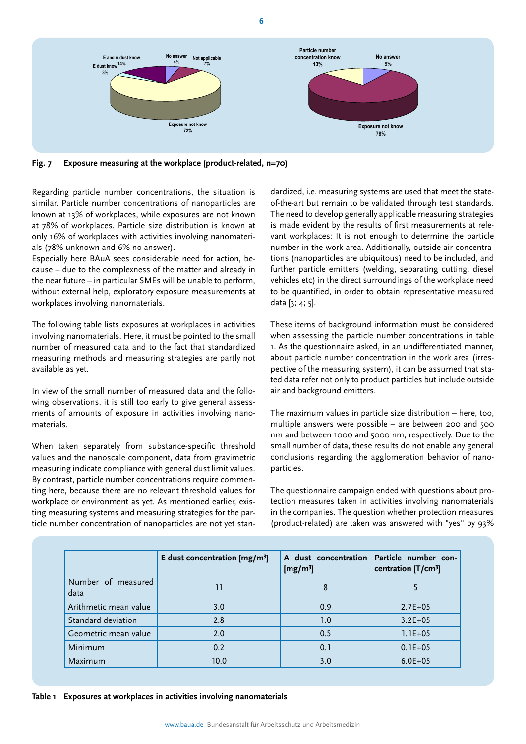

**6** 

**Fig. 7 Exposure measuring at the workplace (product-related, n=70)** 

Regarding particle number concentrations, the situation is similar. Particle number concentrations of nanoparticles are known at 13% of workplaces, while exposures are not known at 78% of workplaces. Particle size distribution is known at only 16% of workplaces with activities involving nanomaterials (78% unknown and 6% no answer).

Especially here BAuA sees considerable need for action, because – due to the complexness of the matter and already in the near future – in particular SMEs will be unable to perform, without external help, exploratory exposure measurements at workplaces involving nanomaterials.

The following table lists exposures at workplaces in activities involving nanomaterials. Here, it must be pointed to the small number of measured data and to the fact that standardized measuring methods and measuring strategies are partly not available as yet.

In view of the small number of measured data and the following observations, it is still too early to give general assessments of amounts of exposure in activities involving nanomaterials.

When taken separately from substance-specific threshold values and the nanoscale component, data from gravimetric measuring indicate compliance with general dust limit values. By contrast, particle number concentrations require commenting here, because there are no relevant threshold values for workplace or environment as yet. As mentioned earlier, existing measuring systems and measuring strategies for the particle number concentration of nanoparticles are not yet standardized, i.e. measuring systems are used that meet the stateof-the-art but remain to be validated through test standards. The need to develop generally applicable measuring strategies is made evident by the results of first measurements at relevant workplaces: It is not enough to determine the particle number in the work area. Additionally, outside air concentrations (nanoparticles are ubiquitous) need to be included, and further particle emitters (welding, separating cutting, diesel vehicles etc) in the direct surroundings of the workplace need to be quantified, in order to obtain representative measured data [3; 4; 5].

These items of background information must be considered when assessing the particle number concentrations in table 1. As the questionnaire asked, in an undifferentiated manner, about particle number concentration in the work area (irrespective of the measuring system), it can be assumed that stated data refer not only to product particles but include outside air and background emitters.

The maximum values in particle size distribution – here, too, multiple answers were possible – are between 200 and 500 nm and between 1000 and 5000 nm, respectively. Due to the small number of data, these results do not enable any general conclusions regarding the agglomeration behavior of nanoparticles.

The questionnaire campaign ended with questions about protection measures taken in activities involving nanomaterials in the companies. The question whether protection measures (product-related) are taken was answered with "yes" by 93%

|                            | E dust concentration $[mg/m3]$ | A dust concentration<br>[ $mg/m3$ ] | Particle number con-<br>centration $[T/cm3]$ |
|----------------------------|--------------------------------|-------------------------------------|----------------------------------------------|
| Number of measured<br>data | וו                             | 8                                   |                                              |
| Arithmetic mean value      | 3.0                            | 0.9                                 | $2.7E + 05$                                  |
| Standard deviation         | 2.8                            | 1.0                                 | $3.2E + 05$                                  |
| Geometric mean value       | 2.0                            | 0.5                                 | $1.1E + 05$                                  |
| Minimum                    | 0.2                            | 0.1                                 | $0.1E + 05$                                  |
| Maximum                    | 10.0                           | 3.0                                 | $6.0E + 05$                                  |

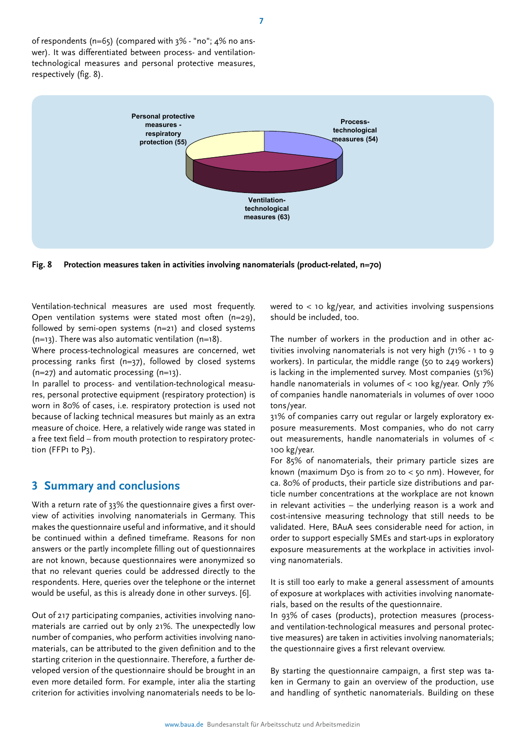of respondents (n=65) (compared with 3% - "no"; 4% no answer). It was differentiated between process- and ventilationtechnological measures and personal protective measures, respectively (fig. 8).



**Fig. 8 Protection measures taken in activities involving nanomaterials (product-related, n=70)** 

Ventilation-technical measures are used most frequently. Open ventilation systems were stated most often (n=29), followed by semi-open systems (n=21) and closed systems  $(n=13)$ . There was also automatic ventilation  $(n=18)$ .

Where process-technological measures are concerned, wet processing ranks first (n=37), followed by closed systems (n=27) and automatic processing (n=13).

In parallel to process- and ventilation-technological measures, personal protective equipment (respiratory protection) is worn in 80% of cases, i.e. respiratory protection is used not because of lacking technical measures but mainly as an extra measure of choice. Here, a relatively wide range was stated in a free text field – from mouth protection to respiratory protection (FFP1 to P3).

### **3 Summary and conclusions**

With a return rate of 33% the questionnaire gives a first overview of activities involving nanomaterials in Germany. This makes the questionnaire useful and informative, and it should be continued within a defined timeframe. Reasons for non answers or the partly incomplete filling out of questionnaires are not known, because questionnaires were anonymized so that no relevant queries could be addressed directly to the respondents. Here, queries over the telephone or the internet would be useful, as this is already done in other surveys. [6].

Out of 217 participating companies, activities involving nanomaterials are carried out by only 21%. The unexpectedly low number of companies, who perform activities involving nanomaterials, can be attributed to the given definition and to the starting criterion in the questionnaire. Therefore, a further developed version of the questionnaire should be brought in an even more detailed form. For example, inter alia the starting criterion for activities involving nanomaterials needs to be lowered to  $<$  10 kg/year, and activities involving suspensions should be included, too.

The number of workers in the production and in other activities involving nanomaterials is not very high (71% - 1 to 9 workers). In particular, the middle range (50 to 249 workers) is lacking in the implemented survey. Most companies (51%) handle nanomaterials in volumes of  $<$  100 kg/year. Only 7% of companies handle nanomaterials in volumes of over 1000 tons/year.

31% of companies carry out regular or largely exploratory exposure measurements. Most companies, who do not carry out measurements, handle nanomaterials in volumes of < 100 kg/year.

For 85% of nanomaterials, their primary particle sizes are known (maximum D50 is from 20 to  $<$  50 nm). However, for ca. 80% of products, their particle size distributions and particle number concentrations at the workplace are not known in relevant activities – the underlying reason is a work and cost-intensive measuring technology that still needs to be validated. Here, BAuA sees considerable need for action, in order to support especially SMEs and start-ups in exploratory exposure measurements at the workplace in activities involving nanomaterials.

It is still too early to make a general assessment of amounts of exposure at workplaces with activities involving nanomaterials, based on the results of the questionnaire.

In 93% of cases (products), protection measures (processand ventilation-technological measures and personal protective measures) are taken in activities involving nanomaterials; the questionnaire gives a first relevant overview.

By starting the questionnaire campaign, a first step was taken in Germany to gain an overview of the production, use and handling of synthetic nanomaterials. Building on these